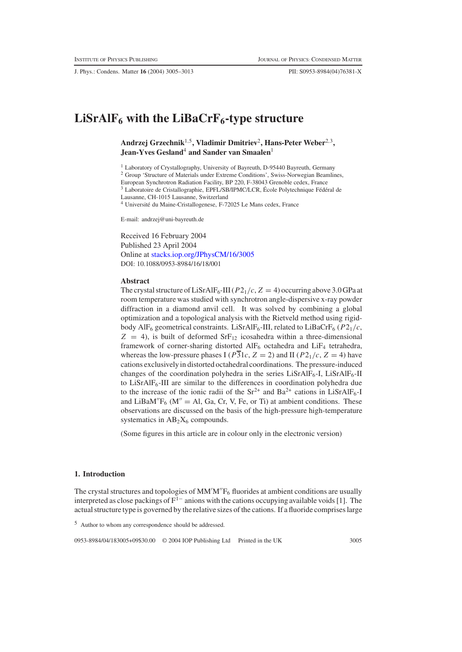J. Phys.: Condens. Matter **16** (2004) 3005–3013 PII: S0953-8984(04)76381-X

# $LiSrAlF<sub>6</sub>$  with the  $LiBaCrF<sub>6</sub>$ -type structure

**Andrzej Grzechnik**1,5**, Vladimir Dmitriev**2**, Hans-Peter Weber**2,3**, Jean-Yves Gesland**<sup>4</sup> **and Sander van Smaalen**<sup>1</sup>

<sup>1</sup> Laboratory of Crystallography, University of Bayreuth, D-95440 Bayreuth, Germany <sup>2</sup> Group 'Structure of Materials under Extreme Conditions', Swiss-Norwegian Beamlines, European Synchrotron Radiation Facility, BP 220, F-38043 Grenoble cedex, France <sup>3</sup> Laboratoire de Cristallographie, EPFL/SB/IPMC/LCR, École Polytechnique Fédéral de Lausanne, CH-1015 Lausanne, Switzerland

<sup>4</sup> Université du Maine-Cristallogenese, F-72025 Le Mans cedex, France

E-mail: andrzej@uni-bayreuth.de

Received 16 February 2004 Published 23 April 2004 Online at [stacks.iop.org/JPhysCM/16/3005](http://stacks.iop.org/JPhysCM/16/3005) DOI: 10.1088/0953-8984/16/18/001

#### **Abstract**

The crystal structure of LiSrAlF<sub>6</sub>-III ( $P2_1/c$ ,  $Z = 4$ ) occurring above 3.0 GPa at room temperature was studied with synchrotron angle-dispersive x-ray powder diffraction in a diamond anvil cell. It was solved by combining a global optimization and a topological analysis with the Rietveld method using rigidbody AlF<sub>6</sub> geometrical constraints. LiSrAlF<sub>6</sub>-III, related to LiBaCrF<sub>6</sub> ( $P2_1/c$ ,  $Z = 4$ ), is built of deformed SrF<sub>12</sub> icosahedra within a three-dimensional framework of corner-sharing distorted  $\text{AlF}_6$  octahedra and  $\text{LiF}_4$  tetrahedra, whereas the low-pressure phases I ( $P\overline{3}1c$ ,  $Z = 2$ ) and II ( $P2<sub>1</sub>/c$ ,  $Z = 4$ ) have cations exclusively in distorted octahedral coordinations. The pressure-induced changes of the coordination polyhedra in the series LiSrAlF<sub>6</sub>-I, LiSrAlF<sub>6</sub>-II to LiSrAlF6-III are similar to the differences in coordination polyhedra due to the increase of the ionic radii of the  $Sr^{2+}$  and  $Ba^{2+}$  cations in LiSrAlF<sub>6</sub>-I and LiBaM' $F_6$  (M'' = Al, Ga, Cr, V, Fe, or Ti) at ambient conditions. These observations are discussed on the basis of the high-pressure high-temperature systematics in  $AB_2X_6$  compounds.

(Some figures in this article are in colour only in the electronic version)

## **1. Introduction**

The crystal structures and topologies of  $MM'M''F_6$  fluorides at ambient conditions are usually interpreted as close packings of  $F<sup>1−</sup>$  anions with the cations occupying available voids [1]. The actual structure type is governed by the relative sizes of the cations. If a fluoride comprises large

<sup>5</sup> Author to whom any correspondence should be addressed.

0953-8984/04/183005+09\$30.00 © 2004 IOP Publishing Ltd Printed in the UK 3005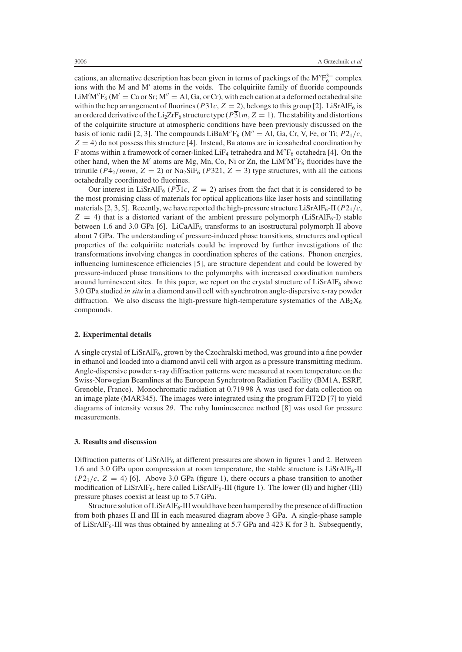cations, an alternative description has been given in terms of packings of the  $M/F_6^{3-}$  complex ions with the M and M' atoms in the voids. The colquiriite family of fluoride compounds LiM'M" $F_6$  (M' = Ca or Sr; M" = Al, Ga, or Cr), with each cation at a deformed octahedral site within the hcp arrangement of fluorines ( $P\overline{31}c$ ,  $Z = 2$ ), belongs to this group [2]. LiSrAlF<sub>6</sub> is an ordered derivative of the Li<sub>2</sub>ZrF<sub>6</sub> structure type ( $\overline{P31}m$ ,  $\overline{Z}=1$ ). The stability and distortions of the colquiriite structure at atmospheric conditions have been previously discussed on the basis of ionic radii [2, 3]. The compounds LiBaM''F<sub>6</sub> (M'' = Al, Ga, Cr, V, Fe, or Ti;  $P2_1/c$ ,  $Z = 4$ ) do not possess this structure [4]. Instead, Ba atoms are in icosahedral coordination by F atoms within a framework of corner-linked LiF<sub>4</sub> tetrahedra and  $M''F_6$  octahedra [4]. On the other hand, when the M' atoms are Mg, Mn, Co, Ni or Zn, the  $LiM'M''F_6$  fluorides have the trirutile ( $P4_2/mnm$ ,  $Z = 2$ ) or Na<sub>2</sub>SiF<sub>6</sub> ( $P321$ ,  $Z = 3$ ) type structures, with all the cations octahedrally coordinated to fluorines.

Our interest in LiSrAlF<sub>6</sub> ( $P\overline{3}1c$ ,  $Z = 2$ ) arises from the fact that it is considered to be the most promising class of materials for optical applications like laser hosts and scintillating materials [2, 3, 5]. Recently, we have reported the high-pressure structure LiSrAlF<sub>6</sub>-II ( $P2_1/c$ ,  $Z = 4$ ) that is a distorted variant of the ambient pressure polymorph (LiSrAlF<sub>6</sub>-I) stable between 1.6 and 3.0 GPa [6]. LiCaAlF<sub>6</sub> transforms to an isostructural polymorph II above about 7 GPa. The understanding of pressure-induced phase transitions, structures and optical properties of the colquiriite materials could be improved by further investigations of the transformations involving changes in coordination spheres of the cations. Phonon energies, influencing luminescence efficiencies [5], are structure dependent and could be lowered by pressure-induced phase transitions to the polymorphs with increased coordination numbers around luminescent sites. In this paper, we report on the crystal structure of  $Lis{rAIF_6}$  above 3.0 GPa studied *in situ* in a diamond anvil cell with synchrotron angle-dispersive x-ray powder diffraction. We also discuss the high-pressure high-temperature systematics of the  $AB_2X_6$ compounds.

#### **2. Experimental details**

A single crystal of LiSrAlF6, grown by the Czochralski method, was ground into a fine powder in ethanol and loaded into a diamond anvil cell with argon as a pressure transmitting medium. Angle-dispersive powder x-ray diffraction patterns were measured at room temperature on the Swiss-Norwegian Beamlines at the European Synchrotron Radiation Facility (BM1A, ESRF, Grenoble, France). Monochromatic radiation at 0.719 98 Å was used for data collection on an image plate (MAR345). The images were integrated using the program FIT2D [7] to yield diagrams of intensity versus 2θ. The ruby luminescence method [8] was used for pressure measurements.

#### **3. Results and discussion**

Diffraction patterns of  $LiSrAlF<sub>6</sub>$  at different pressures are shown in figures 1 and 2. Between 1.6 and 3.0 GPa upon compression at room temperature, the stable structure is  $LiSrAlF<sub>6</sub>-II$  $(P2<sub>1</sub>/c, Z = 4)$  [6]. Above 3.0 GPa (figure 1), there occurs a phase transition to another modification of LiSrAlF<sub>6</sub>, here called LiSrAlF<sub>6</sub>-III (figure 1). The lower (II) and higher (III) pressure phases coexist at least up to 5.7 GPa.

Structure solution of  $LiSrAlF<sub>6</sub>-III$  would have been hampered by the presence of diffraction from both phases II and III in each measured diagram above 3 GPa. A single-phase sample of LiSrAlF<sub>6</sub>-III was thus obtained by annealing at 5.7 GPa and 423 K for 3 h. Subsequently,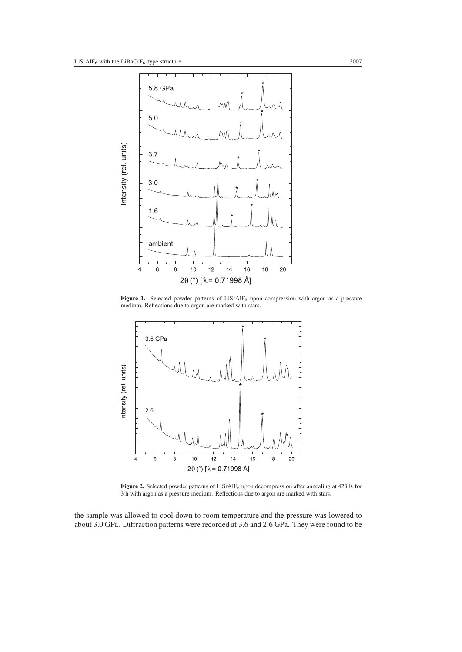

Figure 1. Selected powder patterns of LiSrAlF<sub>6</sub> upon compression with argon as a pressure medium. Reflections due to argon are marked with stars.



Figure 2. Selected powder patterns of LiSrAlF<sub>6</sub> upon decompression after annealing at 423 K for 3 h with argon as a pressure medium. Reflections due to argon are marked with stars.

the sample was allowed to cool down to room temperature and the pressure was lowered to about 3.0 GPa. Diffraction patterns were recorded at 3.6 and 2.6 GPa. They were found to be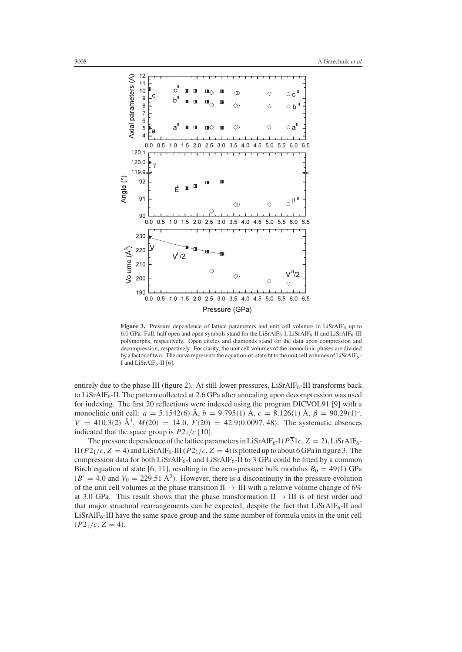

Figure 3. Pressure dependence of lattice parameters and unit cell volumes in LiSrAlF<sub>6</sub> up to 6.0 GPa. Full, half open and open symbols stand for the LiSrAlF $_6$ -I, LiSrAlF $_6$ -II and LiSrAlF $_6$ -III polymorphs, respectively. Open circles and diamonds stand for the data upon compression and decompression, respectively. For clarity, the unit cell volumes of the monoclinic phases are divided by a factor of two. The curve represents the equation-of-state fit to the unit cell volumes of LiSrAlF6 -I and  $LiSrAlF<sub>6</sub>$ -II [6].

entirely due to the phase III (figure 2). At still lower pressures,  $LiSrAlF<sub>6</sub>-III$  transforms back to LiSrAlF<sub>6</sub>-II. The pattern collected at 2.6 GPa after annealing upon decompression was used for indexing. The first 20 reflections were indexed using the program DICVOL91 [9] with a monoclinic unit cell:  $a = 5.1542(6)$  Å,  $b = 9.795(1)$  Å,  $c = 8.126(1)$  Å,  $\beta = 90.29(1)$ °,  $V = 410.3(2)$   $\AA^3$ ,  $M(20) = 14.0$ ,  $F(20) = 42.9(0.0097, 48)$ . The systematic absences indicated that the space group is  $P2_1/c$  [10].

The pressure dependence of the lattice parameters in LiSrAlF<sub>6</sub>-I ( $P\overline{3}1c$ ,  $Z = 2$ ), LiSrAlF<sub>6</sub>-II ( $P2_1/c$ ,  $Z = 4$ ) and LiSrAlF<sub>6</sub>-III ( $P2_1/c$ ,  $Z = 4$ ) is plotted up to about 6 GPa in figure 3. The compression data for both LiSrAlF<sub>6</sub>-I and LiSrAlF<sub>6</sub>-II to 3 GPa could be fitted by a common Birch equation of state [6, 11], resulting in the zero-pressure bulk modulus  $B_0 = 49(1)$  GPa  $(B' = 4.0$  and  $V_0 = 229.51 \text{ Å}^3$ . However, there is a discontinuity in the pressure evolution of the unit cell volumes at the phase transition II  $\rightarrow$  III with a relative volume change of 6% at 3.0 GPa. This result shows that the phase transformation  $II \rightarrow III$  is of first order and that major structural rearrangements can be expected, despite the fact that  $LisrAIF_6-II$  and  $LiSrAlF<sub>6</sub>-III$  have the same space group and the same number of formula units in the unit cell  $(P2<sub>1</sub>/c, Z = 4).$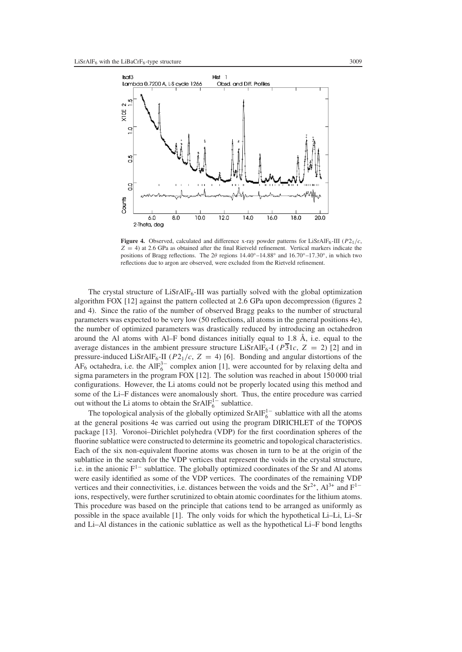

**Figure 4.** Observed, calculated and difference x-ray powder patterns for LiSrAlF<sub>6</sub>-III ( $P2_1/c$ ,  $Z = 4$ ) at 2.6 GPa as obtained after the final Rietveld refinement. Vertical markers indicate the positions of Bragg reflections. The  $2\theta$  regions  $14.40°-14.88°$  and  $16.70°-17.30°$ , in which two reflections due to argon are observed, were excluded from the Rietveld refinement.

The crystal structure of  $LiSrAlF<sub>6</sub>-III$  was partially solved with the global optimization algorithm FOX [12] against the pattern collected at 2.6 GPa upon decompression (figures 2 and 4). Since the ratio of the number of observed Bragg peaks to the number of structural parameters was expected to be very low (50 reflections, all atoms in the general positions 4e), the number of optimized parameters was drastically reduced by introducing an octahedron around the Al atoms with Al–F bond distances initially equal to 1.8 Å, i.e. equal to the average distances in the ambient pressure structure LiSrAlF<sub>6</sub>-I ( $P\overline{3}1c$ ,  $Z = 2$ ) [2] and in pressure-induced LiSrAlF<sub>6</sub>-II ( $P2_1/c$ ,  $Z = 4$ ) [6]. Bonding and angular distortions of the  $AF_6$  octahedra, i.e. the  $AIF_6^{3-}$  complex anion [1], were accounted for by relaxing delta and sigma parameters in the program FOX [12]. The solution was reached in about 150 000 trial configurations. However, the Li atoms could not be properly located using this method and some of the Li–F distances were anomalously short. Thus, the entire procedure was carried out without the Li atoms to obtain the  $SrAlF_6^{1-}$  sublattice.

The topological analysis of the globally optimized  $SrAlF_6^{1-}$  sublattice with all the atoms at the general positions 4e was carried out using the program DIRICHLET of the TOPOS package [13]. Voronoi–Dirichlet polyhedra (VDP) for the first coordination spheres of the fluorine sublattice were constructed to determine its geometric and topological characteristics. Each of the six non-equivalent fluorine atoms was chosen in turn to be at the origin of the sublattice in the search for the VDP vertices that represent the voids in the crystal structure, i.e. in the anionic F<sup>1−</sup> sublattice. The globally optimized coordinates of the Sr and Al atoms were easily identified as some of the VDP vertices. The coordinates of the remaining VDP vertices and their connectivities, i.e. distances between the voids and the  $Sr^{2+}$ ,  $Al^{3+}$  and  $F^{1-}$ ions, respectively, were further scrutinized to obtain atomic coordinates for the lithium atoms. This procedure was based on the principle that cations tend to be arranged as uniformly as possible in the space available [1]. The only voids for which the hypothetical Li–Li, Li–Sr and Li–Al distances in the cationic sublattice as well as the hypothetical Li–F bond lengths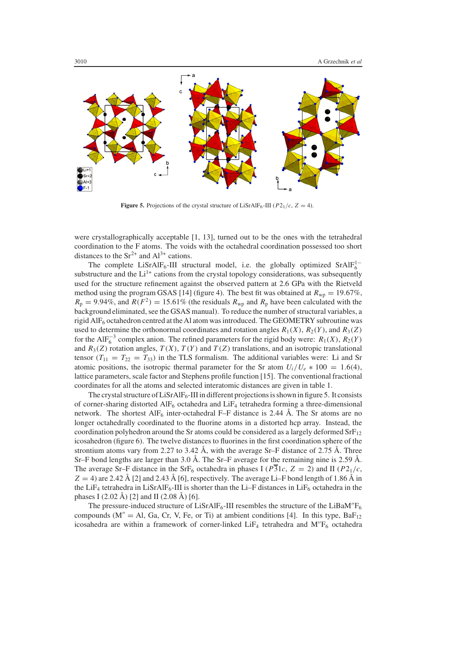

**Figure 5.** Projections of the crystal structure of LiSrAlF<sub>6</sub>-III ( $P2_1/c$ ,  $Z = 4$ ).

were crystallographically acceptable [1, 13], turned out to be the ones with the tetrahedral coordination to the F atoms. The voids with the octahedral coordination possessed too short distances to the  $Sr^{2+}$  and  $Al^{3+}$  cations.

The complete LiSrAlF<sub>6</sub>-III structural model, i.e. the globally optimized SrAlF<sup>1</sup><sup>-</sup> substructure and the  $Li^{1+}$  cations from the crystal topology considerations, was subsequently used for the structure refinement against the observed pattern at 2.6 GPa with the Rietveld method using the program GSAS [14] (figure 4). The best fit was obtained at  $R_{wp} = 19.67\%$ ,  $R_p = 9.94\%$ , and  $R(F^2) = 15.61\%$  (the residuals  $R_{wp}$  and  $R_p$  have been calculated with the background eliminated, see the GSAS manual). To reduce the number of structural variables, a rigid AlF6 octahedron centred at the Al atom was introduced. The GEOMETRY subroutine was used to determine the orthonormal coordinates and rotation angles  $R_1(X)$ ,  $R_2(Y)$ , and  $R_3(Z)$ for the AlF<sup> $-3$ </sup> complex anion. The refined parameters for the rigid body were:  $R_1(X)$ ,  $R_2(Y)$ and  $R_3(Z)$  rotation angles,  $T(X)$ ,  $T(Y)$  and  $T(Z)$  translations, and an isotropic translational tensor  $(T_{11} = T_{22} = T_{33})$  in the TLS formalism. The additional variables were: Li and Sr atomic positions, the isotropic thermal parameter for the Sr atom  $U_i/U_e * 100 = 1.6(4)$ , lattice parameters, scale factor and Stephens profile function [15]. The conventional fractional coordinates for all the atoms and selected interatomic distances are given in table 1.

The crystal structure of  $LiSrAlF<sub>6</sub>-III$  in different projections is shown in figure 5. It consists of corner-sharing distorted  $\text{AlF}_6$  octahedra and  $\text{LiF}_4$  tetrahedra forming a three-dimensional network. The shortest  $\text{AlF}_6$  inter-octahedral F–F distance is 2.44 Å. The Sr atoms are no longer octahedrally coordinated to the fluorine atoms in a distorted hcp array. Instead, the coordination polyhedron around the Sr atoms could be considered as a largely deformed  $SrF<sub>12</sub>$ icosahedron (figure 6). The twelve distances to fluorines in the first coordination sphere of the strontium atoms vary from 2.27 to 3.42 Å, with the average Sr–F distance of 2.75 Å. Three Sr–F bond lengths are larger than 3.0 Å. The Sr–F average for the remaining nine is 2.59 Å. The average Sr–F distance in the SrF<sub>6</sub> octahedra in phases I ( $P\overline{3}1c$ ,  $Z = 2$ ) and II ( $P2<sub>1</sub>/c$ ,  $Z = 4$ ) are 2.42 Å [2] and 2.43 Å [6], respectively. The average Li–F bond length of 1.86 Å in the LiF<sub>4</sub> tetrahedra in LiSrAlF<sub>6</sub>-III is shorter than the Li–F distances in LiF<sub>6</sub> octahedra in the phases I (2.02 Å) [2] and II (2.08 Å) [6].

The pressure-induced structure of LiSrAlF<sub>6</sub>-III resembles the structure of the LiBaM'<sup>F</sup><sub>6</sub> compounds ( $M'' = Al$ , Ga, Cr, V, Fe, or Ti) at ambient conditions [4]. In this type,  $BaF_{12}$ icosahedra are within a framework of corner-linked  $LiF_4$  tetrahedra and  $M''F_6$  octahedra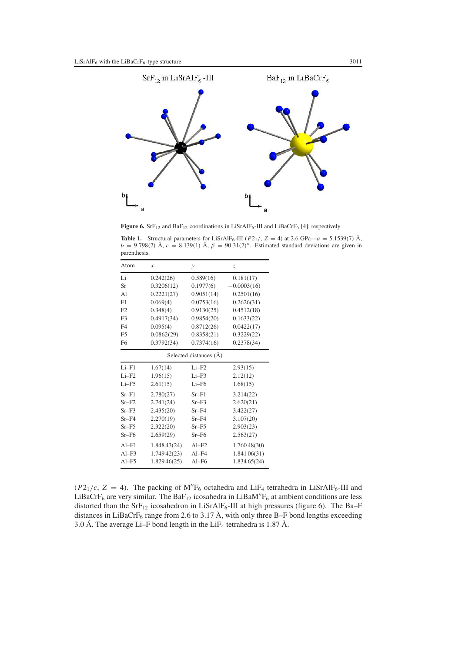

**Figure 6.** SrF<sub>12</sub> and BaF<sub>12</sub> coordinations in LiSrAlF<sub>6</sub>-III and LiBaCrF<sub>6</sub> [4], respectively.

**Table 1.** Structural parameters for LiSrAlF<sub>6</sub>-III ( $P2_1$ /,  $Z = 4$ ) at 2.6 GPa—*a* = 5.1539(7) Å,  $b = 9.798(2)$  Å,  $c = 8.139(1)$  Å,  $\beta = 90.31(2)°$ . Estimated standard deviations are given in parenthesis.

| Atom                   | $\mathcal{X}$ | $\mathcal{Y}$ | Z,            |
|------------------------|---------------|---------------|---------------|
| Li                     | 0.242(26)     | 0.589(16)     | 0.181(17)     |
| Sr                     | 0.3206(12)    | 0.1977(6)     | $-0.0003(16)$ |
| A <sub>1</sub>         | 0.2221(27)    | 0.9051(14)    | 0.2501(16)    |
| F1                     | 0.069(4)      | 0.0753(16)    | 0.2626(31)    |
| F2                     | 0.348(4)      | 0.9130(25)    | 0.4512(18)    |
| F3                     | 0.4917(34)    | 0.9854(20)    | 0.1633(22)    |
| F <sub>4</sub>         | 0.095(4)      | 0.8712(26)    | 0.0422(17)    |
| F <sub>5</sub>         | $-0.0862(29)$ | 0.8358(21)    | 0.3229(22)    |
| F <sub>6</sub>         | 0.3792(34)    | 0.7374(16)    | 0.2378(34)    |
| Selected distances (Å) |               |               |               |
| $Li-F1$                | 1.67(14)      | $Li-F2$       | 2.93(15)      |
| $Li-F2$                | 1.96(15)      | $Li-F3$       | 2.12(12)      |
| $Li-F5$                | 2.61(15)      | $Li-F6$       | 1.68(15)      |
| $Sr-F1$                | 2.780(27)     | $Sr-F1$       | 3.214(22)     |
| $Sr-F2$                | 2.741(24)     | $Sr-F3$       | 2.620(21)     |
| $Sr-F3$                | 2.435(20)     | $Sr-F4$       | 3.422(27)     |
| $Sr-F4$                | 2.270(19)     | $Sr-F4$       | 3.107(20)     |
| $Sr-F5$                | 2.322(20)     | $Sr-F5$       | 2.903(23)     |
| $Sr-F6$                | 2.659(29)     | $Sr-F6$       | 2.563(27)     |
| $AI-F1$                | 1.848 43(24)  | $AI-F2$       | 1.76048(30)   |
| $AI-F3$                | 1.749 42(23)  | $AI-F4$       | 1.84106(31)   |
| $AI-F5$                | 1.829 46(25)  | Al–F6         | 1.834 65(24)  |

( $P2_1/c$ ,  $Z = 4$ ). The packing of M'F<sub>6</sub> octahedra and LiF<sub>4</sub> tetrahedra in LiSrAlF<sub>6</sub>-III and LiBaCrF<sub>6</sub> are very similar. The BaF<sub>12</sub> icosahedra in LiBaM'<sup>F</sup><sub>6</sub> at ambient conditions are less distorted than the  $SrF_{12}$  icosahedron in LiSrAlF<sub>6</sub>-III at high pressures (figure 6). The Ba–F distances in LiBaCrF<sub>6</sub> range from 2.6 to 3.17 Å, with only three B–F bond lengths exceeding 3.0 Å. The average Li–F bond length in the LiF<sub>4</sub> tetrahedra is 1.87 Å.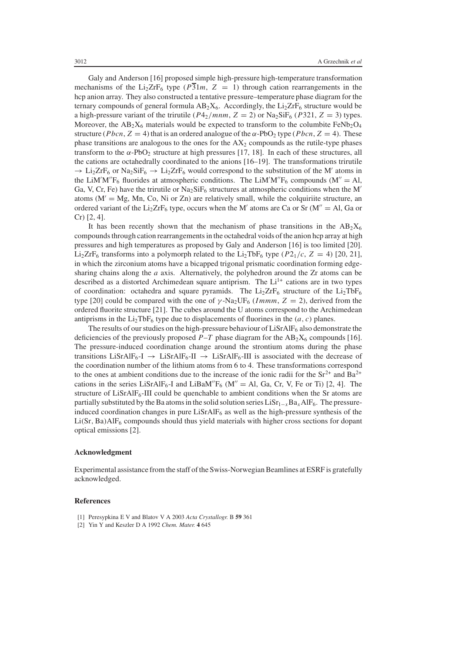Galy and Anderson [16] proposed simple high-pressure high-temperature transformation mechanisms of the Li<sub>2</sub>ZrF<sub>6</sub> type ( $P\overline{31}m$ ,  $Z = 1$ ) through cation rearrangements in the hcp anion array. They also constructed a tentative pressure–temperature phase diagram for the ternary compounds of general formula  $AB_2X_6$ . Accordingly, the  $Li_2ZrF_6$  structure would be a high-pressure variant of the trirutile  $(P4<sub>2</sub>/mm, Z = 2)$  or Na<sub>2</sub>SiF<sub>6</sub> (*P*321, *Z* = 3) types. Moreover, the  $AB_2X_6$  materials would be expected to transform to the columbite  $FeNb_2O_4$ structure (*Pbcn*,  $Z = 4$ ) that is an ordered analogue of the  $\alpha$ -PbO<sub>2</sub> type (*Pbcn*,  $Z = 4$ ). These phase transitions are analogous to the ones for the  $AX<sub>2</sub>$  compounds as the rutile-type phases transform to the  $\alpha$ -PbO<sub>2</sub> structure at high pressures [17, 18]. In each of these structures, all the cations are octahedrally coordinated to the anions [16–19]. The transformations trirutile  $\rightarrow$  Li<sub>2</sub>ZrF<sub>6</sub> or Na<sub>2</sub>SiF<sub>6</sub>  $\rightarrow$  Li<sub>2</sub>ZrF<sub>6</sub> would correspond to the substitution of the M' atoms in the LiM'M''F<sub>6</sub> fluorides at atmospheric conditions. The LiM'M''F<sub>6</sub> compounds (M'' = Al, Ga, V, Cr, Fe) have the trirutile or  $Na<sub>2</sub>SiF<sub>6</sub>$  structures at atmospheric conditions when the M' atoms ( $M' = Mg$ , Mn, Co, Ni or Zn) are relatively small, while the colquirite structure, an ordered variant of the  $Li_2ZrF_6$  type, occurs when the M' atoms are Ca or Sr (M'' = Al, Ga or Cr) [2, 4].

It has been recently shown that the mechanism of phase transitions in the  $AB_2X_6$ compounds through cation rearrangements in the octahedral voids of the anion hcp array at high pressures and high temperatures as proposed by Galy and Anderson [16] is too limited [20]. Li<sub>2</sub>ZrF<sub>6</sub> transforms into a polymorph related to the Li<sub>2</sub>TbF<sub>6</sub> type ( $P2_1/c$ ,  $Z = 4$ ) [20, 21], in which the zirconium atoms have a bicapped trigonal prismatic coordination forming edgesharing chains along the *a* axis. Alternatively, the polyhedron around the Zr atoms can be described as a distorted Archimedean square antiprism. The  $Li<sup>1+</sup>$  cations are in two types of coordination: octahedra and square pyramids. The  $Li<sub>2</sub>ZrF<sub>6</sub>$  structure of the  $Li<sub>2</sub>TbF<sub>6</sub>$ type [20] could be compared with the one of  $\gamma$ -Na<sub>2</sub>UF<sub>6</sub> (*Immm*,  $Z = 2$ ), derived from the ordered fluorite structure [21]. The cubes around the U atoms correspond to the Archimedean antiprisms in the  $Li<sub>2</sub>TbF<sub>6</sub>$  type due to displacements of fluorines in the  $(a, c)$  planes.

The results of our studies on the high-pressure behaviour of  $LiSrAlF<sub>6</sub>$  also demonstrate the deficiencies of the previously proposed  $P-T$  phase diagram for the  $AB_2X_6$  compounds [16]. The pressure-induced coordination change around the strontium atoms during the phase transitions LiSrAlF<sub>6</sub>-I  $\rightarrow$  LiSrAlF<sub>6</sub>-II  $\rightarrow$  LiSrAlF<sub>6</sub>-III is associated with the decrease of the coordination number of the lithium atoms from 6 to 4. These transformations correspond to the ones at ambient conditions due to the increase of the ionic radii for the  $Sr^{2+}$  and  $Ba^{2+}$ cations in the series LiSrAlF<sub>6</sub>-I and LiBaM'<sup>F</sup><sub>6</sub> (M' = Al, Ga, Cr, V, Fe or Ti) [2, 4]. The structure of  $LiSrAlF<sub>6</sub>-III$  could be quenchable to ambient conditions when the Sr atoms are partially substituted by the Ba atoms in the solid solution series LiSr<sub>1−*x*</sub>Ba<sub>*x*</sub>AlF<sub>6</sub>. The pressureinduced coordination changes in pure  $LiSrAlF<sub>6</sub>$  as well as the high-pressure synthesis of the  $Li(Sr, Ba)AlF<sub>6</sub>$  compounds should thus yield materials with higher cross sections for dopant optical emissions [2].

### **Acknowledgment**

Experimental assistance from the staff of the Swiss-Norwegian Beamlines at ESRF is gratefully acknowledged.

#### **References**

- [1] Peresypkina E V and Blatov V A 2003 *Acta Crystallogr.* B **59** 361
- [2] Yin Y and Keszler D A 1992 *Chem. Mater.* **4** 645